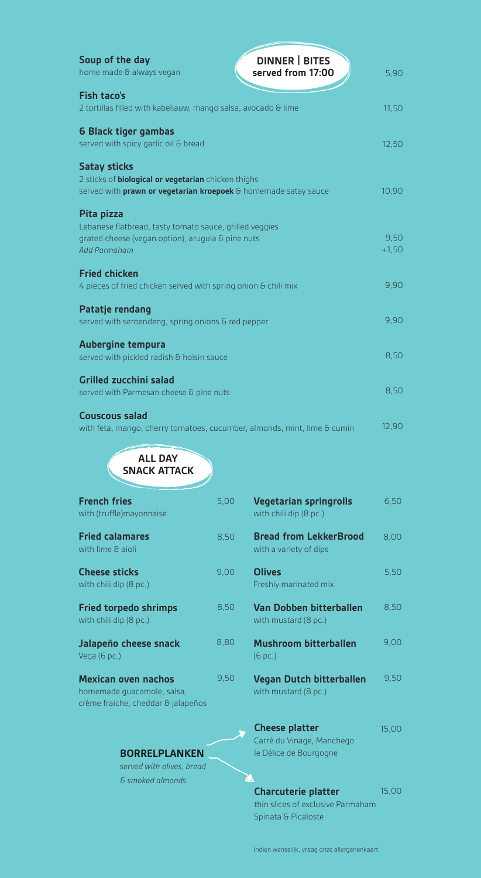| <b>DINNER   BITES</b><br>Soup of the day<br>home made & always vegan<br>served from 17:00 | 5,90    |
|-------------------------------------------------------------------------------------------|---------|
| <b>Fish taco's</b>                                                                        |         |
| 2 tortillas filled with kabeljauw, mango salsa, avocado & lime                            | 11,50   |
| 6 Black tiger gambas                                                                      |         |
| served with spicy garlic oil & bread                                                      | 12,50   |
| <b>Satay sticks</b>                                                                       |         |
| 2 sticks of <b>biological or vegetarian</b> chicken thighs                                |         |
| served with prawn or vegetarian kroepoek & homemade satay sauce                           | 10,90   |
| Pita pizza                                                                                |         |
| Lebanese flatbread, tasty tomato sauce, grilled veggies                                   |         |
| grated cheese (vegan option), arugula & pine nuts                                         | 9,50    |
| Add Parmaham                                                                              | $+1,50$ |
| <b>Fried chicken</b>                                                                      |         |
| 4 pieces of fried chicken served with spring onion & chili mix                            | 9,90    |
| <b>Patatje rendang</b>                                                                    |         |
| served with seroendeng, spring onions & red pepper                                        | 9,90    |
| Aubergine tempura                                                                         |         |
| served with pickled radish & hoisin sauce                                                 | 8,50    |
| <b>Grilled zucchini salad</b>                                                             |         |
| served with Parmesan cheese & pine nuts                                                   | 8,50    |
| <b>Couscous salad</b>                                                                     |         |
|                                                                                           |         |

with feta, mango, cherry tomatoes, cucumber, almonds, mint, lime & cumin<br>9,000 with feta, mango, cherry tomatoes, cucumber, almonds, mint, lime & cumin 12,50 12,90  $\alpha$ rry t +1,50

| <b>ALL DAY</b><br><b>SNACK ATTACK</b>                                                          |      |                                                                              |       |
|------------------------------------------------------------------------------------------------|------|------------------------------------------------------------------------------|-------|
| <b>French fries</b><br>with (truffle)mayonnaise                                                | 5,00 | <b>Vegetarian springrolls</b><br>with chili dip (8 pc.)                      | 6,50  |
| <b>Fried calamares</b><br>with lime & aioli                                                    | 8,50 | <b>Bread from LekkerBrood</b><br>with a variety of dips                      | 8,00  |
| <b>Cheese sticks</b><br>with chili dip (8 pc.)                                                 | 9,00 | <b>Olives</b><br>Freshly marinated mix                                       | 5,50  |
| <b>Fried torpedo shrimps</b><br>with chili dip (8 pc.)                                         | 8,50 | Van Dobben bitterballen<br>with mustard (8 pc.)                              | 8,50  |
| Jalapeño cheese snack<br>Vega (6 pc.)                                                          | 8,80 | <b>Mushroom bitterballen</b><br>$(6$ pc.)                                    | 9,00  |
| <b>Mexican oven nachos</b><br>homemade guacamole, salsa,<br>crème fraiche, cheddar & jalapeños | 9,50 | <b>Vegan Dutch bitterballen</b><br>with mustard (8 pc.)                      | 9,50  |
| <b>BORRELPLANKEN</b><br>served with olives, bread                                              |      | <b>Cheese platter</b><br>Carré du Vinage, Manchego<br>le Délice de Bourgogne | 15,00 |

*& smoked almonds*

**Charcuterie platter** with must consist thin slices of exclusive Parmaham Spinata & Picaloste

14,75 15,00